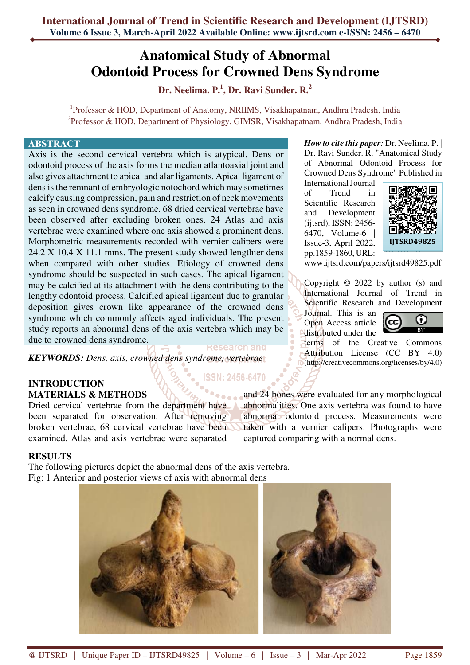## **Anatomical Study of Abnormal Odontoid Process for Crowned Dens Syndrome**

**Dr. Neelima. P.<sup>1</sup> , Dr. Ravi Sunder. R.<sup>2</sup>**

<sup>1</sup>Professor & HOD, Department of Anatomy, NRIIMS, Visakhapatnam, Andhra Pradesh, India <sup>2</sup>Professor & HOD, Department of Physiology, GIMSR, Visakhapatnam, Andhra Pradesh, India

## **ABSTRACT**

Axis is the second cervical vertebra which is atypical. Dens or odontoid process of the axis forms the median atlantoaxial joint and also gives attachment to apical and alar ligaments. Apical ligament of dens is the remnant of embryologic notochord which may sometimes calcify causing compression, pain and restriction of neck movements as seen in crowned dens syndrome. 68 dried cervical vertebrae have been observed after excluding broken ones. 24 Atlas and axis vertebrae were examined where one axis showed a prominent dens. Morphometric measurements recorded with vernier calipers were 24.2 X 10.4 X 11.1 mms. The present study showed lengthier dens when compared with other studies. Etiology of crowned dens syndrome should be suspected in such cases. The apical ligament may be calcified at its attachment with the dens contributing to the lengthy odontoid process. Calcified apical ligament due to granular deposition gives crown like appearance of the crowned dens syndrome which commonly affects aged individuals. The present study reports an abnormal dens of the axis vertebra which may be due to crowned dens syndrome.

*KEYWORDS: Dens, axis, crowned dens syndrome, vertebrae* 

## **INTRODUCTION MATERIALS & METHODS**

Dried cervical vertebrae from the department have been separated for observation. After removing broken vertebrae, 68 cervical vertebrae have been examined. Atlas and axis vertebrae were separated

terms of the Creative Commons Attribution License (CC BY 4.0) (http://creativecommons.org/licenses/by/4.0) **ISSN: 2456-6470** and 24 bones were evaluated for any morphological

> abnormalities. One axis vertebra was found to have abnormal odontoid process. Measurements were taken with a vernier calipers. Photographs were

captured comparing with a normal dens.

*How to cite this paper:* Dr. Neelima. P. | Dr. Ravi Sunder. R. "Anatomical Study of Abnormal Odontoid Process for Crowned Dens Syndrome" Published in

International Journal of Trend in Scientific Research and Development (ijtsrd), ISSN: 2456- 6470, Volume-6 | Issue-3, April 2022, pp.1859-1860, URL:



www.ijtsrd.com/papers/ijtsrd49825.pdf

Copyright © 2022 by author (s) and International Journal of Trend in Scientific Research and Development

Journal. This is an Open Access article distributed under the



**RESULTS** 

The following pictures depict the abnormal dens of the axis vertebra. Fig: 1 Anterior and posterior views of axis with abnormal dens